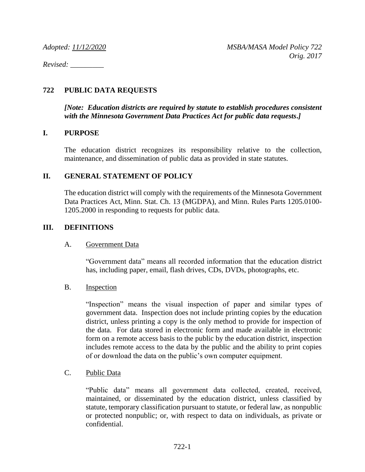*Revised: \_\_\_\_\_\_\_\_\_*

## **722 PUBLIC DATA REQUESTS**

*[Note: Education districts are required by statute to establish procedures consistent with the Minnesota Government Data Practices Act for public data requests***.***]*

## **I. PURPOSE**

The education district recognizes its responsibility relative to the collection, maintenance, and dissemination of public data as provided in state statutes.

#### **II. GENERAL STATEMENT OF POLICY**

The education district will comply with the requirements of the Minnesota Government Data Practices Act, Minn. Stat. Ch. 13 (MGDPA), and Minn. Rules Parts 1205.0100- 1205.2000 in responding to requests for public data.

#### **III. DEFINITIONS**

## A. Government Data

"Government data" means all recorded information that the education district has, including paper, email, flash drives, CDs, DVDs, photographs, etc.

#### B. Inspection

"Inspection" means the visual inspection of paper and similar types of government data. Inspection does not include printing copies by the education district, unless printing a copy is the only method to provide for inspection of the data. For data stored in electronic form and made available in electronic form on a remote access basis to the public by the education district, inspection includes remote access to the data by the public and the ability to print copies of or download the data on the public's own computer equipment.

#### C. Public Data

"Public data" means all government data collected, created, received, maintained, or disseminated by the education district, unless classified by statute, temporary classification pursuant to statute, or federal law, as nonpublic or protected nonpublic; or, with respect to data on individuals, as private or confidential.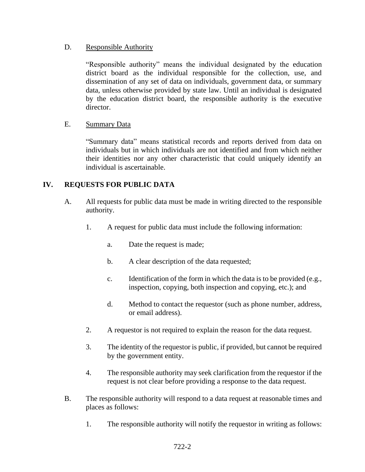## D. Responsible Authority

"Responsible authority" means the individual designated by the education district board as the individual responsible for the collection, use, and dissemination of any set of data on individuals, government data, or summary data, unless otherwise provided by state law. Until an individual is designated by the education district board, the responsible authority is the executive director.

## E. Summary Data

"Summary data" means statistical records and reports derived from data on individuals but in which individuals are not identified and from which neither their identities nor any other characteristic that could uniquely identify an individual is ascertainable.

## **IV. REQUESTS FOR PUBLIC DATA**

- A. All requests for public data must be made in writing directed to the responsible authority.
	- 1. A request for public data must include the following information:
		- a. Date the request is made;
		- b. A clear description of the data requested;
		- c. Identification of the form in which the data is to be provided (e.g., inspection, copying, both inspection and copying, etc.); and
		- d. Method to contact the requestor (such as phone number, address, or email address).
	- 2. A requestor is not required to explain the reason for the data request.
	- 3. The identity of the requestor is public, if provided, but cannot be required by the government entity.
	- 4. The responsible authority may seek clarification from the requestor if the request is not clear before providing a response to the data request.
- B. The responsible authority will respond to a data request at reasonable times and places as follows:
	- 1. The responsible authority will notify the requestor in writing as follows: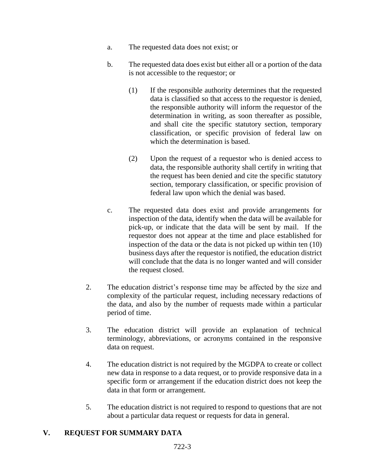- a. The requested data does not exist; or
- b. The requested data does exist but either all or a portion of the data is not accessible to the requestor; or
	- (1) If the responsible authority determines that the requested data is classified so that access to the requestor is denied, the responsible authority will inform the requestor of the determination in writing, as soon thereafter as possible, and shall cite the specific statutory section, temporary classification, or specific provision of federal law on which the determination is based.
	- (2) Upon the request of a requestor who is denied access to data, the responsible authority shall certify in writing that the request has been denied and cite the specific statutory section, temporary classification, or specific provision of federal law upon which the denial was based.
- c. The requested data does exist and provide arrangements for inspection of the data, identify when the data will be available for pick-up, or indicate that the data will be sent by mail. If the requestor does not appear at the time and place established for inspection of the data or the data is not picked up within ten (10) business days after the requestor is notified, the education district will conclude that the data is no longer wanted and will consider the request closed.
- 2. The education district's response time may be affected by the size and complexity of the particular request, including necessary redactions of the data, and also by the number of requests made within a particular period of time.
- 3. The education district will provide an explanation of technical terminology, abbreviations, or acronyms contained in the responsive data on request.
- 4. The education district is not required by the MGDPA to create or collect new data in response to a data request, or to provide responsive data in a specific form or arrangement if the education district does not keep the data in that form or arrangement.
- 5. The education district is not required to respond to questions that are not about a particular data request or requests for data in general.

## **V. REQUEST FOR SUMMARY DATA**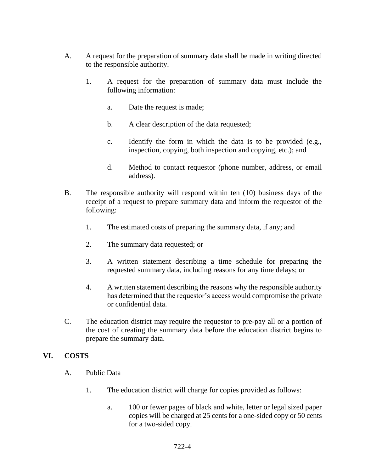- A. A request for the preparation of summary data shall be made in writing directed to the responsible authority.
	- 1. A request for the preparation of summary data must include the following information:
		- a. Date the request is made;
		- b. A clear description of the data requested;
		- c. Identify the form in which the data is to be provided (e.g., inspection, copying, both inspection and copying, etc.); and
		- d. Method to contact requestor (phone number, address, or email address).
- B. The responsible authority will respond within ten (10) business days of the receipt of a request to prepare summary data and inform the requestor of the following:
	- 1. The estimated costs of preparing the summary data, if any; and
	- 2. The summary data requested; or
	- 3. A written statement describing a time schedule for preparing the requested summary data, including reasons for any time delays; or
	- 4. A written statement describing the reasons why the responsible authority has determined that the requestor's access would compromise the private or confidential data.
- C. The education district may require the requestor to pre-pay all or a portion of the cost of creating the summary data before the education district begins to prepare the summary data.

## **VI. COSTS**

- A. Public Data
	- 1. The education district will charge for copies provided as follows:
		- a. 100 or fewer pages of black and white, letter or legal sized paper copies will be charged at 25 cents for a one-sided copy or 50 cents for a two-sided copy.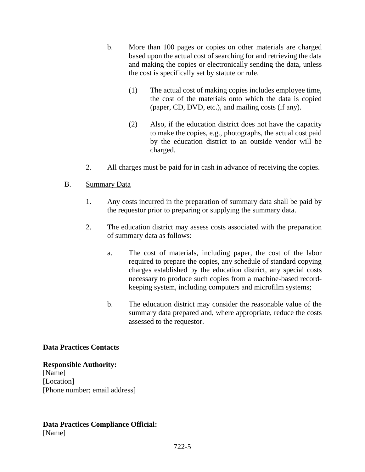- b. More than 100 pages or copies on other materials are charged based upon the actual cost of searching for and retrieving the data and making the copies or electronically sending the data, unless the cost is specifically set by statute or rule.
	- (1) The actual cost of making copies includes employee time, the cost of the materials onto which the data is copied (paper, CD, DVD, etc.), and mailing costs (if any).
	- (2) Also, if the education district does not have the capacity to make the copies, e.g., photographs, the actual cost paid by the education district to an outside vendor will be charged.
- 2. All charges must be paid for in cash in advance of receiving the copies.

## B. Summary Data

- 1. Any costs incurred in the preparation of summary data shall be paid by the requestor prior to preparing or supplying the summary data.
- 2. The education district may assess costs associated with the preparation of summary data as follows:
	- a. The cost of materials, including paper, the cost of the labor required to prepare the copies, any schedule of standard copying charges established by the education district, any special costs necessary to produce such copies from a machine-based recordkeeping system, including computers and microfilm systems;
	- b. The education district may consider the reasonable value of the summary data prepared and, where appropriate, reduce the costs assessed to the requestor.

## **Data Practices Contacts**

## **Responsible Authority:** [Name] [Location] [Phone number; email address]

# **Data Practices Compliance Official:**

[Name]